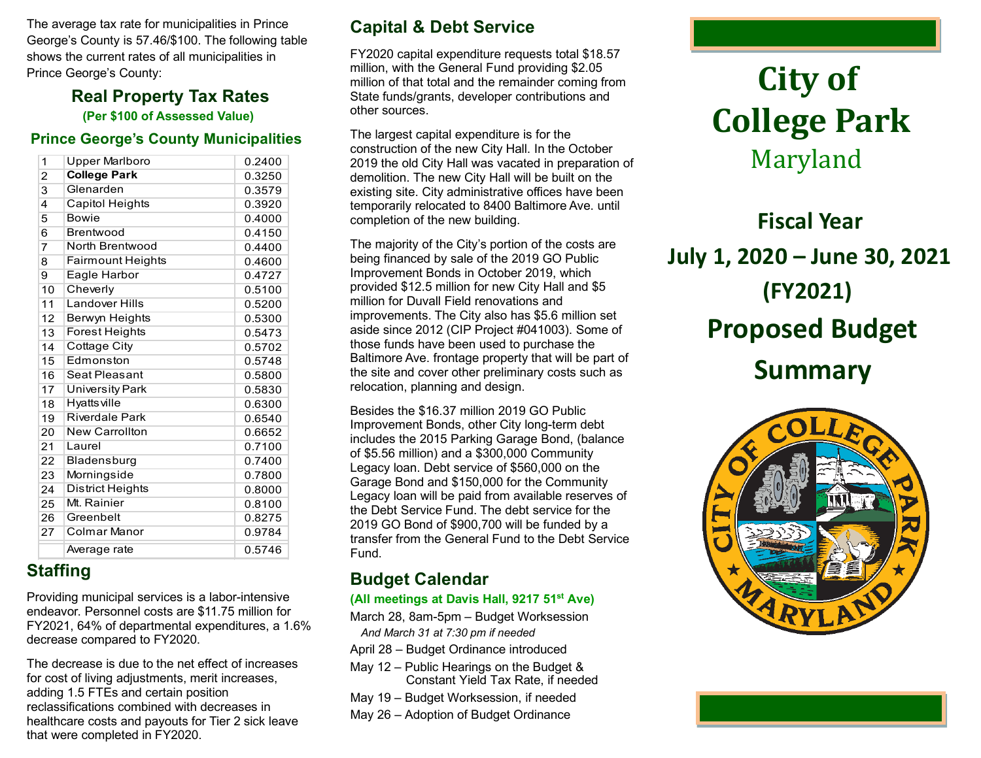The average tax rate for municipalities in Prince George's County is 57.46/\$100. The following table shows the current rates of all municipalities in Prince George's County:

### **Real Property Tax Rates (Per \$100 of Assessed Value)**

### **Prince George's County Municipalities**

| 1              | <b>Upper Marlboro</b>    | 0.2400 |
|----------------|--------------------------|--------|
| $\overline{2}$ | <b>College Park</b>      | 0.3250 |
| 3              | Glenarden                | 0.3579 |
| 4              | <b>Capitol Heights</b>   | 0.3920 |
| 5              | <b>Bowie</b>             | 0.4000 |
| 6              | Brentwood                | 0.4150 |
| $\overline{7}$ | North Brentwood          | 0.4400 |
| 8              | <b>Fairmount Heights</b> | 0.4600 |
| 9              | Eagle Harbor             | 0.4727 |
| 10             | Cheverly                 | 0.5100 |
| 11             | Landover Hills           | 0.5200 |
| 12             | Berwyn Heights           | 0.5300 |
| 13             | Forest Heights           | 0.5473 |
| 14             | <b>Cottage City</b>      | 0.5702 |
| 15             | Edmonston                | 0.5748 |
| 16             | Seat Pleasant            | 0.5800 |
| 17             | <b>University Park</b>   | 0.5830 |
| 18             | <b>Hyatts ville</b>      | 0.6300 |
| 19             | <b>Riverdale Park</b>    | 0.6540 |
| 20             | <b>New Carrollton</b>    | 0.6652 |
| 21             | Laurel                   | 0.7100 |
| 22             | Bladensburg              | 0.7400 |
| 23             | Morningside              | 0.7800 |
| 24             | <b>District Heights</b>  | 0.8000 |
| 25             | Mt. Rainier              | 0.8100 |
| 26             | Greenbelt                | 0.8275 |
| 27             | Colmar Manor             | 0.9784 |
|                | Average rate             | 0.5746 |

# **Staffing**

Providing municipal services is a labor-intensive endeavor. Personnel costs are \$11.75 million for FY2021, 64% of departmental expenditures, a 1.6% decrease compared to FY2020.

The decrease is due to the net effect of increases for cost of living adjustments, merit increases, adding 1.5 FTEs and certain position reclassifications combined with decreases in healthcare costs and payouts for Tier 2 sick leave that were completed in FY2020.

### **Capital & Debt Service**

FY2020 capital expenditure requests total \$18.57 million, with the General Fund providing \$2.05 million of that total and the remainder coming from State funds/grants, developer contributions and other sources.

The largest capital expenditure is for the construction of the new City Hall. In the October 2019 the old City Hall was vacated in preparation of demolition. The new City Hall will be built on the existing site. City administrative offices have been temporarily relocated to 8400 Baltimore Ave. until completion of the new building.

The majority of the City's portion of the costs are being financed by sale of the 2019 GO Public Improvement Bonds in October 2019, which provided \$12.5 million for new City Hall and \$5 million for Duvall Field renovations and improvements. The City also has \$5.6 million set aside since 2012 (CIP Project #041003). Some of those funds have been used to purchase the Baltimore Ave. frontage property that will be part of the site and cover other preliminary costs such as relocation, planning and design.

Besides the \$16.37 million 2019 GO Public Improvement Bonds, other City long-term debt includes the 2015 Parking Garage Bond, (balance of \$5.56 million) and a \$300,000 Community Legacy loan. Debt service of \$560,000 on the Garage Bond and \$150,000 for the Community Legacy loan will be paid from available reserves of the Debt Service Fund. The debt service for the 2019 GO Bond of \$900,700 will be funded by a transfer from the General Fund to the Debt Service Fund.

# **Budget Calendar**

#### **(All meetings at Davis Hall, 9217 51st Ave)**

March 28, 8am-5pm – Budget Worksession *And March 31 at 7:30 pm if needed*

- April 28 Budget Ordinance introduced
- May 12 Public Hearings on the Budget & Constant Yield Tax Rate, if needed
- May 19 Budget Worksession, if needed
- May 26 Adoption of Budget Ordinance

# **City of College Park** Maryland

 **Fiscal Year July 1, 2020 – June 30, 2021 (FY2021) Proposed Budget Summary**